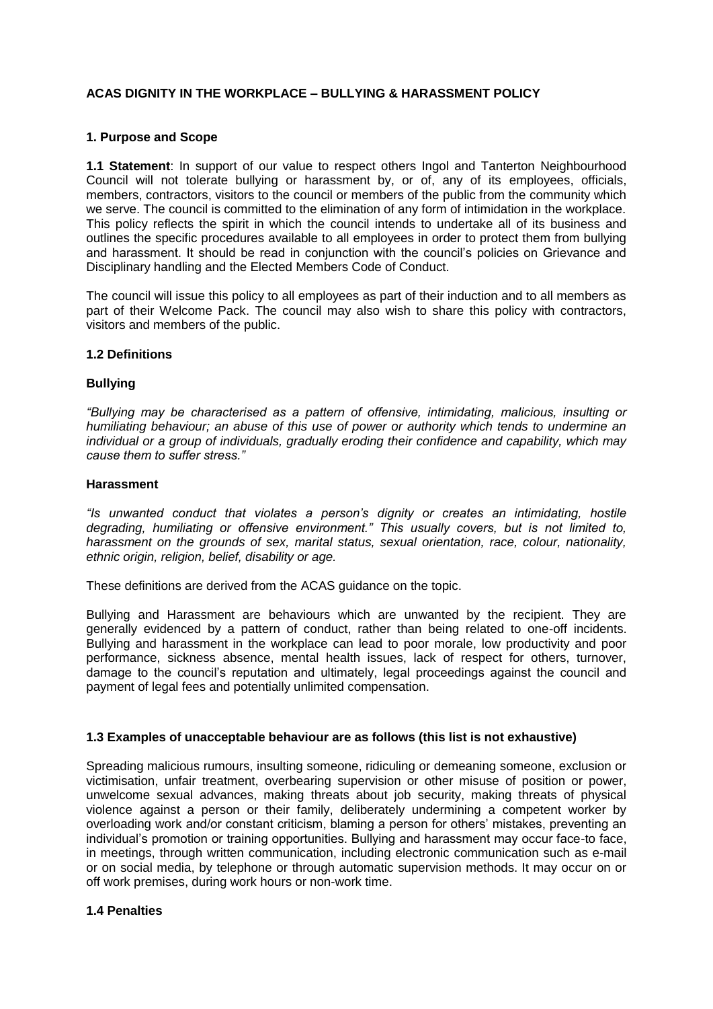## **ACAS DIGNITY IN THE WORKPLACE – BULLYING & HARASSMENT POLICY**

#### **1. Purpose and Scope**

**1.1 Statement**: In support of our value to respect others Ingol and Tanterton Neighbourhood Council will not tolerate bullying or harassment by, or of, any of its employees, officials, members, contractors, visitors to the council or members of the public from the community which we serve. The council is committed to the elimination of any form of intimidation in the workplace. This policy reflects the spirit in which the council intends to undertake all of its business and outlines the specific procedures available to all employees in order to protect them from bullying and harassment. It should be read in conjunction with the council's policies on Grievance and Disciplinary handling and the Elected Members Code of Conduct.

The council will issue this policy to all employees as part of their induction and to all members as part of their Welcome Pack. The council may also wish to share this policy with contractors, visitors and members of the public.

#### **1.2 Definitions**

### **Bullying**

*"Bullying may be characterised as a pattern of offensive, intimidating, malicious, insulting or humiliating behaviour; an abuse of this use of power or authority which tends to undermine an individual or a group of individuals, gradually eroding their confidence and capability, which may cause them to suffer stress."*

#### **Harassment**

*"Is unwanted conduct that violates a person's dignity or creates an intimidating, hostile degrading, humiliating or offensive environment." This usually covers, but is not limited to, harassment on the grounds of sex, marital status, sexual orientation, race, colour, nationality, ethnic origin, religion, belief, disability or age.*

These definitions are derived from the ACAS guidance on the topic.

Bullying and Harassment are behaviours which are unwanted by the recipient. They are generally evidenced by a pattern of conduct, rather than being related to one-off incidents. Bullying and harassment in the workplace can lead to poor morale, low productivity and poor performance, sickness absence, mental health issues, lack of respect for others, turnover, damage to the council's reputation and ultimately, legal proceedings against the council and payment of legal fees and potentially unlimited compensation.

### **1.3 Examples of unacceptable behaviour are as follows (this list is not exhaustive)**

Spreading malicious rumours, insulting someone, ridiculing or demeaning someone, exclusion or victimisation, unfair treatment, overbearing supervision or other misuse of position or power, unwelcome sexual advances, making threats about job security, making threats of physical violence against a person or their family, deliberately undermining a competent worker by overloading work and/or constant criticism, blaming a person for others' mistakes, preventing an individual's promotion or training opportunities. Bullying and harassment may occur face-to face, in meetings, through written communication, including electronic communication such as e-mail or on social media, by telephone or through automatic supervision methods. It may occur on or off work premises, during work hours or non-work time.

#### **1.4 Penalties**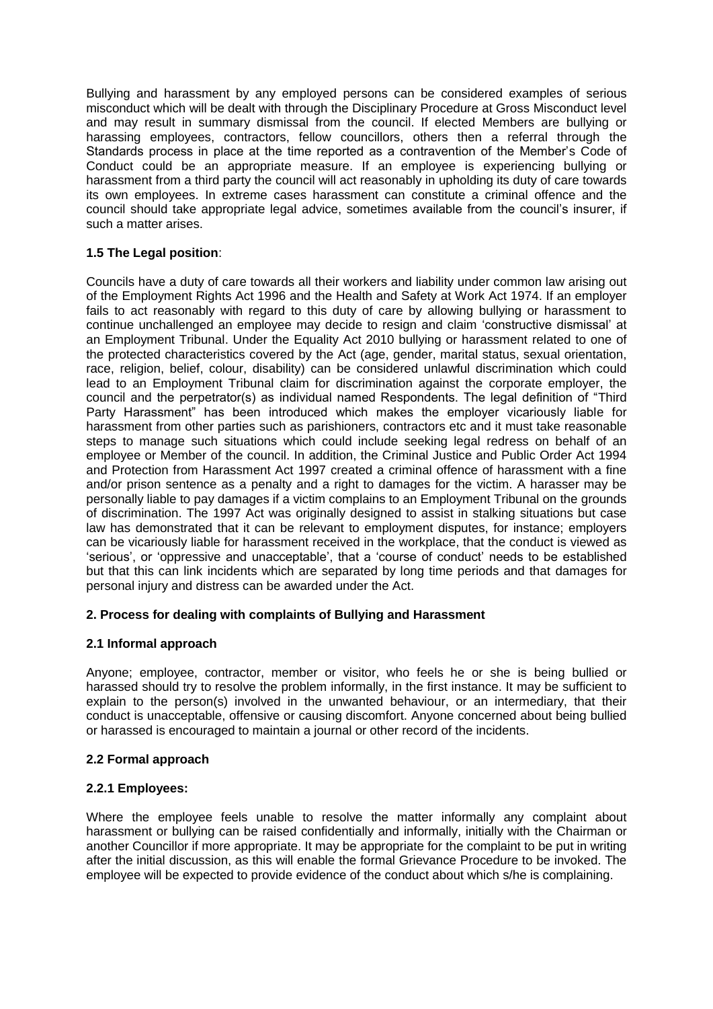Bullying and harassment by any employed persons can be considered examples of serious misconduct which will be dealt with through the Disciplinary Procedure at Gross Misconduct level and may result in summary dismissal from the council. If elected Members are bullying or harassing employees, contractors, fellow councillors, others then a referral through the Standards process in place at the time reported as a contravention of the Member's Code of Conduct could be an appropriate measure. If an employee is experiencing bullying or harassment from a third party the council will act reasonably in upholding its duty of care towards its own employees. In extreme cases harassment can constitute a criminal offence and the council should take appropriate legal advice, sometimes available from the council's insurer, if such a matter arises.

# **1.5 The Legal position**:

Councils have a duty of care towards all their workers and liability under common law arising out of the Employment Rights Act 1996 and the Health and Safety at Work Act 1974. If an employer fails to act reasonably with regard to this duty of care by allowing bullying or harassment to continue unchallenged an employee may decide to resign and claim 'constructive dismissal' at an Employment Tribunal. Under the Equality Act 2010 bullying or harassment related to one of the protected characteristics covered by the Act (age, gender, marital status, sexual orientation, race, religion, belief, colour, disability) can be considered unlawful discrimination which could lead to an Employment Tribunal claim for discrimination against the corporate employer, the council and the perpetrator(s) as individual named Respondents. The legal definition of "Third Party Harassment" has been introduced which makes the employer vicariously liable for harassment from other parties such as parishioners, contractors etc and it must take reasonable steps to manage such situations which could include seeking legal redress on behalf of an employee or Member of the council. In addition, the Criminal Justice and Public Order Act 1994 and Protection from Harassment Act 1997 created a criminal offence of harassment with a fine and/or prison sentence as a penalty and a right to damages for the victim. A harasser may be personally liable to pay damages if a victim complains to an Employment Tribunal on the grounds of discrimination. The 1997 Act was originally designed to assist in stalking situations but case law has demonstrated that it can be relevant to employment disputes, for instance; employers can be vicariously liable for harassment received in the workplace, that the conduct is viewed as 'serious', or 'oppressive and unacceptable', that a 'course of conduct' needs to be established but that this can link incidents which are separated by long time periods and that damages for personal injury and distress can be awarded under the Act.

# **2. Process for dealing with complaints of Bullying and Harassment**

# **2.1 Informal approach**

Anyone; employee, contractor, member or visitor, who feels he or she is being bullied or harassed should try to resolve the problem informally, in the first instance. It may be sufficient to explain to the person(s) involved in the unwanted behaviour, or an intermediary, that their conduct is unacceptable, offensive or causing discomfort. Anyone concerned about being bullied or harassed is encouraged to maintain a journal or other record of the incidents.

# **2.2 Formal approach**

# **2.2.1 Employees:**

Where the employee feels unable to resolve the matter informally any complaint about harassment or bullying can be raised confidentially and informally, initially with the Chairman or another Councillor if more appropriate. It may be appropriate for the complaint to be put in writing after the initial discussion, as this will enable the formal Grievance Procedure to be invoked. The employee will be expected to provide evidence of the conduct about which s/he is complaining.